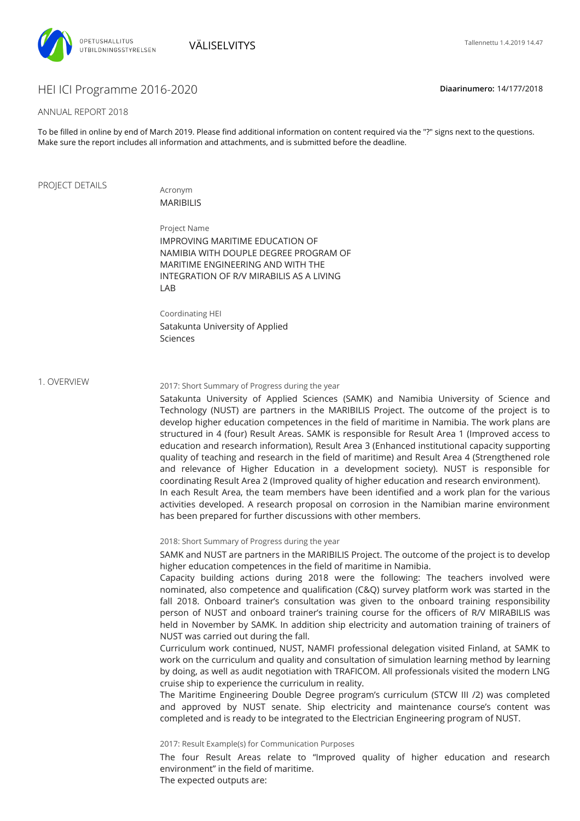

# HEI ICI Programme 2016-2020 **Diaarinumero:** 14/177/2018

### ANNUAL REPORT 2018

To be filled in online by end of March 2019. Please find additional information on content required via the "?" signs next to the questions. Make sure the report includes all information and attachments, and is submitted before the deadline.

### PROJECT DETAILS

Acronym MARIBILIS

LAB

Sciences

Project Name IMPROVING MARITIME EDUCATION OF NAMIBIA WITH DOUPLE DEGREE PROGRAM OF MARITIME ENGINEERING AND WITH THE INTEGRATION OF R/V MIRABILIS AS A LIVING

Coordinating HEI Satakunta University of Applied

1. OVERVIEW

### 2017: Short Summary of Progress during the year

Satakunta University of Applied Sciences (SAMK) and Namibia University of Science and Technology (NUST) are partners in the MARIBILIS Project. The outcome of the project is to develop higher education competences in the field of maritime in Namibia. The work plans are structured in 4 (four) Result Areas. SAMK is responsible for Result Area 1 (Improved access to education and research information), Result Area 3 (Enhanced institutional capacity supporting quality of teaching and research in the field of maritime) and Result Area 4 (Strengthened role and relevance of Higher Education in a development society). NUST is responsible for coordinating Result Area 2 (Improved quality of higher education and research environment). In each Result Area, the team members have been identified and a work plan for the various activities developed. A research proposal on corrosion in the Namibian marine environment

2018: Short Summary of Progress during the year

has been prepared for further discussions with other members.

SAMK and NUST are partners in the MARIBILIS Project. The outcome of the project is to develop higher education competences in the field of maritime in Namibia.

Capacity building actions during 2018 were the following: The teachers involved were nominated, also competence and qualification (C&Q) survey platform work was started in the fall 2018. Onboard trainer's consultation was given to the onboard training responsibility person of NUST and onboard trainer's training course for the officers of R/V MIRABILIS was held in November by SAMK. In addition ship electricity and automation training of trainers of NUST was carried out during the fall.

Curriculum work continued, NUST, NAMFI professional delegation visited Finland, at SAMK to work on the curriculum and quality and consultation of simulation learning method by learning by doing, as well as audit negotiation with TRAFICOM. All professionals visited the modern LNG cruise ship to experience the curriculum in reality.

The Maritime Engineering Double Degree program's curriculum (STCW III /2) was completed and approved by NUST senate. Ship electricity and maintenance course's content was completed and is ready to be integrated to the Electrician Engineering program of NUST.

2017: Result Example(s) for Communication Purposes

The four Result Areas relate to "Improved quality of higher education and research environment" in the field of maritime.

The expected outputs are: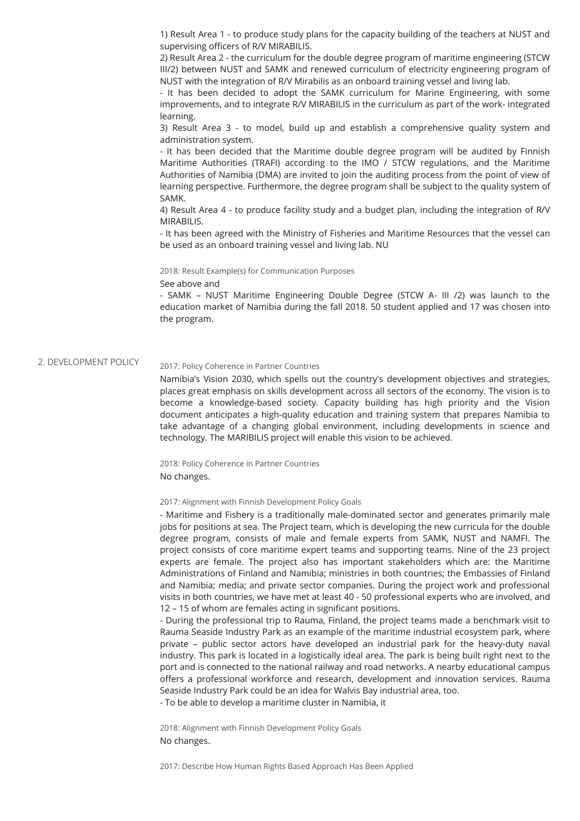1) Result Area 1 - to produce study plans for the capacity building of the teachers at NUST and supervising officers of R/V MIRABILIS.

2) Result Area 2 - the curriculum for the double degree program of maritime engineering (STCW III/2) between NUST and SAMK and renewed curriculum of electricity engineering program of NUST with the integration of R/V Mirabilis as an onboard training vessel and living lab.

- It has been decided to adopt the SAMK curriculum for Marine Engineering, with some improvements, and to integrate R/V MIRABILIS in the curriculum as part of the work- integrated learning.

3) Result Area 3 - to model, build up and establish a comprehensive quality system and administration system.

- It has been decided that the Maritime double degree program will be audited by Finnish Maritime Authorities (TRAFI) according to the IMO / STCW regulations, and the Maritime Authorities of Namibia (DMA) are invited to join the auditing process from the point of view of learning perspective. Furthermore, the degree program shall be subject to the quality system of SAMK.

4) Result Area 4 - to produce facility study and a budget plan, including the integration of R/V MIRABILIS.

- It has been agreed with the Ministry of Fisheries and Maritime Resources that the vessel can be used as an onboard training vessel and living lab. NU

2018: Result Example(s) for Communication Purposes

See above and

- SAMK – NUST Maritime Engineering Double Degree (STCW A- III /2) was launch to the education market of Namibia during the fall 2018. 50 student applied and 17 was chosen into the program.

#### 2. DEVELOPMENT POLICY 2017: Policy Coherence in Partner Countries

Namibia's Vision 2030, which spells out the country's development objectives and strategies, places great emphasis on skills development across all sectors of the economy. The vision is to become a knowledge-based society. Capacity building has high priority and the Vision document anticipates a high-quality education and training system that prepares Namibia to take advantage of a changing global environment, including developments in science and technology. The MARIBILIS project will enable this vision to be achieved.

2018: Policy Coherence in Partner Countries No changes.

2017: Alignment with Finnish Development Policy Goals

- Maritime and Fishery is a traditionally male-dominated sector and generates primarily male jobs for positions at sea. The Project team, which is developing the new curricula for the double degree program, consists of male and female experts from SAMK, NUST and NAMFI. The project consists of core maritime expert teams and supporting teams. Nine of the 23 project experts are female. The project also has important stakeholders which are: the Maritime Administrations of Finland and Namibia; ministries in both countries; the Embassies of Finland and Namibia; media; and private sector companies. During the project work and professional visits in both countries, we have met at least 40 - 50 professional experts who are involved, and 12 - 15 of whom are females acting in significant positions.

- During the professional trip to Rauma, Finland, the project teams made a benchmark visit to Rauma Seaside Industry Park as an example of the maritime industrial ecosystem park, where private – public sector actors have developed an industrial park for the heavy-duty naval industry. This park is located in a logistically ideal area. The park is being built right next to the port and is connected to the national railway and road networks. A nearby educational campus offers a professional workforce and research, development and innovation services. Rauma Seaside Industry Park could be an idea for Walvis Bay industrial area, too.

- To be able to develop a maritime cluster in Namibia, it

2018: Alignment with Finnish Development Policy Goals No changes.

2017: Describe How Human Rights Based Approach Has Been Applied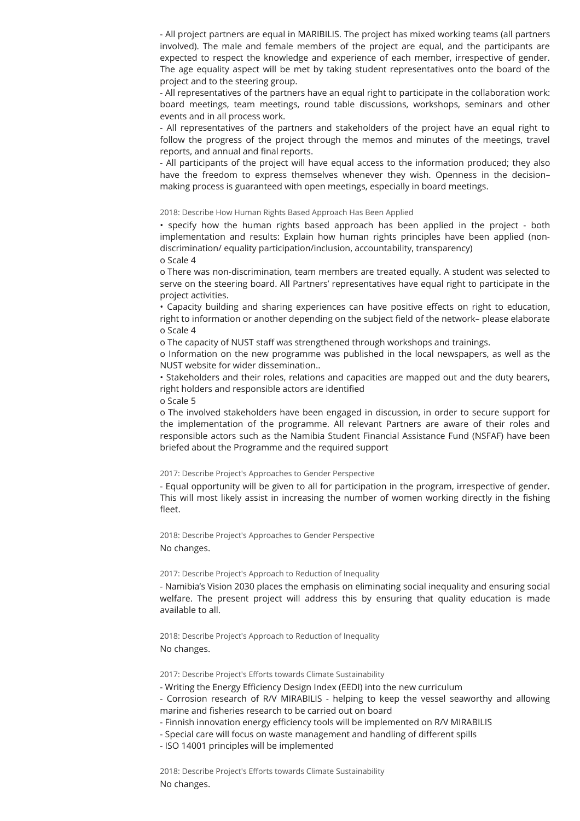- All project partners are equal in MARIBILIS. The project has mixed working teams (all partners involved). The male and female members of the project are equal, and the participants are expected to respect the knowledge and experience of each member, irrespective of gender. The age equality aspect will be met by taking student representatives onto the board of the project and to the steering group.

- All representatives of the partners have an equal right to participate in the collaboration work: board meetings, team meetings, round table discussions, workshops, seminars and other events and in all process work.

- All representatives of the partners and stakeholders of the project have an equal right to follow the progress of the project through the memos and minutes of the meetings, travel reports, and annual and final reports.

- All participants of the project will have equal access to the information produced; they also have the freedom to express themselves whenever they wish. Openness in the decision– making process is guaranteed with open meetings, especially in board meetings.

#### 2018: Describe How Human Rights Based Approach Has Been Applied

• specify how the human rights based approach has been applied in the project - both implementation and results: Explain how human rights principles have been applied (nondiscrimination/ equality participation/inclusion, accountability, transparency) o Scale 4

o There was non-discrimination, team members are treated equally. A student was selected to serve on the steering board. All Partners' representatives have equal right to participate in the project activities.

• Capacity building and sharing experiences can have positive effects on right to education, right to information or another depending on the subject field of the network- please elaborate o Scale 4

o The capacity of NUST staff was strengthened through workshops and trainings.

o Information on the new programme was published in the local newspapers, as well as the NUST website for wider dissemination..

• Stakeholders and their roles, relations and capacities are mapped out and the duty bearers, right holders and responsible actors are identified

o Scale 5

o The involved stakeholders have been engaged in discussion, in order to secure support for the implementation of the programme. All relevant Partners are aware of their roles and responsible actors such as the Namibia Student Financial Assistance Fund (NSFAF) have been briefed about the Programme and the required support

### 2017: Describe Project's Approaches to Gender Perspective

- Equal opportunity will be given to all for participation in the program, irrespective of gender. This will most likely assist in increasing the number of women working directly in the fishing fleet.

2018: Describe Project's Approaches to Gender Perspective No changes.

#### 2017: Describe Project's Approach to Reduction of Inequality

- Namibia's Vision 2030 places the emphasis on eliminating social inequality and ensuring social welfare. The present project will address this by ensuring that quality education is made available to all.

2018: Describe Project's Approach to Reduction of Inequality No changes.

2017: Describe Project's Efforts towards Climate Sustainability

- Writing the Energy Efficiency Design Index (EEDI) into the new curriculum

- Corrosion research of R/V MIRABILIS - helping to keep the vessel seaworthy and allowing marine and fisheries research to be carried out on board

- Finnish innovation energy efficiency tools will be implemented on R/V MIRABILIS
- Special care will focus on waste management and handling of different spills
- ISO 14001 principles will be implemented

2018: Describe Project's Efforts towards Climate Sustainability No changes.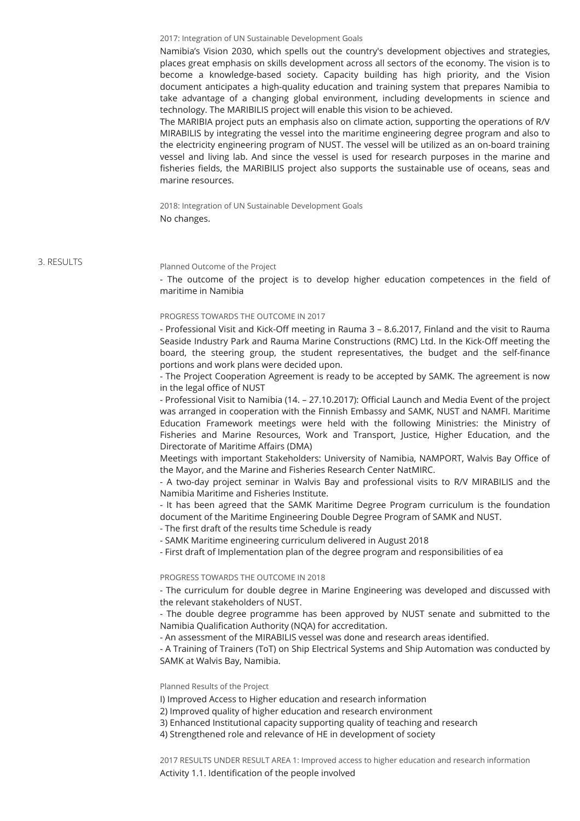2017: Integration of UN Sustainable Development Goals

Namibia's Vision 2030, which spells out the country's development objectives and strategies, places great emphasis on skills development across all sectors of the economy. The vision is to become a knowledge-based society. Capacity building has high priority, and the Vision document anticipates a high-quality education and training system that prepares Namibia to take advantage of a changing global environment, including developments in science and technology. The MARIBILIS project will enable this vision to be achieved.

The MARIBIA project puts an emphasis also on climate action, supporting the operations of R/V MIRABILIS by integrating the vessel into the maritime engineering degree program and also to the electricity engineering program of NUST. The vessel will be utilized as an on-board training vessel and living lab. And since the vessel is used for research purposes in the marine and fisheries fields, the MARIBILIS project also supports the sustainable use of oceans, seas and marine resources.

2018: Integration of UN Sustainable Development Goals No changes.

3. RESULTS

#### Planned Outcome of the Project

- The outcome of the project is to develop higher education competences in the field of maritime in Namibia

### PROGRESS TOWARDS THE OUTCOME IN 2017

- Professional Visit and Kick-Off meeting in Rauma 3 - 8.6.2017, Finland and the visit to Rauma Seaside Industry Park and Rauma Marine Constructions (RMC) Ltd. In the Kick-Off meeting the board, the steering group, the student representatives, the budget and the self-finance portions and work plans were decided upon.

- The Project Cooperation Agreement is ready to be accepted by SAMK. The agreement is now in the legal office of NUST

- Professional Visit to Namibia (14. – 27.10.2017): Ocial Launch and Media Event of the project was arranged in cooperation with the Finnish Embassy and SAMK, NUST and NAMFI. Maritime Education Framework meetings were held with the following Ministries: the Ministry of Fisheries and Marine Resources, Work and Transport, Justice, Higher Education, and the Directorate of Maritime Affairs (DMA)

Meetings with important Stakeholders: University of Namibia, NAMPORT, Walvis Bay Office of the Mayor, and the Marine and Fisheries Research Center NatMIRC.

- A two-day project seminar in Walvis Bay and professional visits to R/V MIRABILIS and the Namibia Maritime and Fisheries Institute.

- It has been agreed that the SAMK Maritime Degree Program curriculum is the foundation document of the Maritime Engineering Double Degree Program of SAMK and NUST.

- The first draft of the results time Schedule is ready

- SAMK Maritime engineering curriculum delivered in August 2018

- First draft of Implementation plan of the degree program and responsibilities of ea

PROGRESS TOWARDS THE OUTCOME IN 2018

- The curriculum for double degree in Marine Engineering was developed and discussed with the relevant stakeholders of NUST.

- The double degree programme has been approved by NUST senate and submitted to the Namibia Qualification Authority (NOA) for accreditation.

- An assessment of the MIRABILIS vessel was done and research areas identified.

- A Training of Trainers (ToT) on Ship Electrical Systems and Ship Automation was conducted by SAMK at Walvis Bay, Namibia.

### Planned Results of the Project

I) Improved Access to Higher education and research information

2) Improved quality of higher education and research environment

3) Enhanced Institutional capacity supporting quality of teaching and research

4) Strengthened role and relevance of HE in development of society

2017 RESULTS UNDER RESULT AREA 1: Improved access to higher education and research information Activity 1.1. Identification of the people involved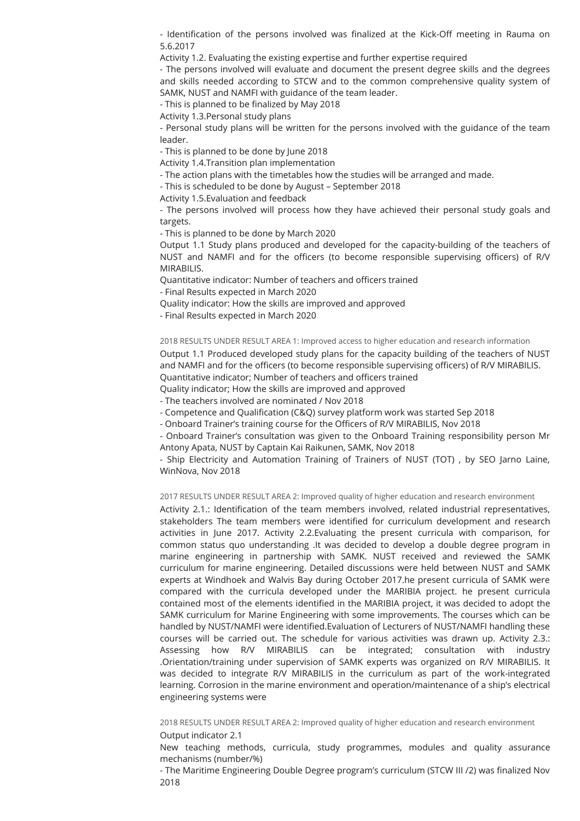- Identification of the persons involved was finalized at the Kick-Off meeting in Rauma on 5.6.2017

Activity 1.2. Evaluating the existing expertise and further expertise required

- The persons involved will evaluate and document the present degree skills and the degrees and skills needed according to STCW and to the common comprehensive quality system of SAMK, NUST and NAMFI with guidance of the team leader.

- This is planned to be finalized by May 2018

Activity 1.3.Personal study plans

- Personal study plans will be written for the persons involved with the guidance of the team leader.

- This is planned to be done by June 2018

Activity 1.4.Transition plan implementation

- The action plans with the timetables how the studies will be arranged and made.

- This is scheduled to be done by August – September 2018

Activity 1.5.Evaluation and feedback

- The persons involved will process how they have achieved their personal study goals and targets.

- This is planned to be done by March 2020

Output 1.1 Study plans produced and developed for the capacity-building of the teachers of NUST and NAMFI and for the officers (to become responsible supervising officers) of R/V MIRABILIS.

Quantitative indicator: Number of teachers and officers trained

- Final Results expected in March 2020

Quality indicator: How the skills are improved and approved

- Final Results expected in March 2020

2018 RESULTS UNDER RESULT AREA 1: Improved access to higher education and research information

Output 1.1 Produced developed study plans for the capacity building of the teachers of NUST and NAMFI and for the officers (to become responsible supervising officers) of R/V MIRABILIS. Quantitative indicator; Number of teachers and officers trained

Quality indicator; How the skills are improved and approved

- The teachers involved are nominated / Nov 2018

- Competence and Qualification (C&Q) survey platform work was started Sep 2018

- Onboard Trainer's training course for the Officers of R/V MIRABILIS, Nov 2018

- Onboard Trainer's consultation was given to the Onboard Training responsibility person Mr Antony Apata, NUST by Captain Kai Raikunen, SAMK, Nov 2018

- Ship Electricity and Automation Training of Trainers of NUST (TOT) , by SEO Jarno Laine, WinNova, Nov 2018

2017 RESULTS UNDER RESULT AREA 2: Improved quality of higher education and research environment

Activity 2.1.: Identification of the team members involved, related industrial representatives, stakeholders The team members were identified for curriculum development and research activities in June 2017. Activity 2.2.Evaluating the present curricula with comparison, for common status quo understanding .It was decided to develop a double degree program in marine engineering in partnership with SAMK. NUST received and reviewed the SAMK curriculum for marine engineering. Detailed discussions were held between NUST and SAMK experts at Windhoek and Walvis Bay during October 2017.he present curricula of SAMK were compared with the curricula developed under the MARIBIA project. he present curricula contained most of the elements identified in the MARIBIA project, it was decided to adopt the SAMK curriculum for Marine Engineering with some improvements. The courses which can be handled by NUST/NAMFI were identified. Evaluation of Lecturers of NUST/NAMFI handling these courses will be carried out. The schedule for various activities was drawn up. Activity 2.3.: Assessing how R/V MIRABILIS can be integrated; consultation with industry .Orientation/training under supervision of SAMK experts was organized on R/V MIRABILIS. It was decided to integrate R/V MIRABILIS in the curriculum as part of the work-integrated learning. Corrosion in the marine environment and operation/maintenance of a ship's electrical engineering systems were

2018 RESULTS UNDER RESULT AREA 2: Improved quality of higher education and research environment Output indicator 2.1

New teaching methods, curricula, study programmes, modules and quality assurance mechanisms (number/%)

- The Maritime Engineering Double Degree program's curriculum (STCW III /2) was finalized Nov 2018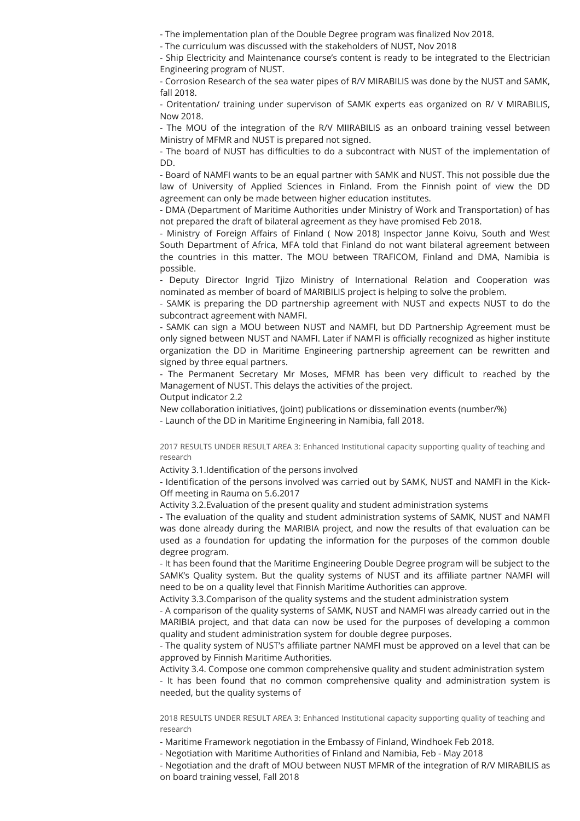- The implementation plan of the Double Degree program was finalized Nov 2018.

- The curriculum was discussed with the stakeholders of NUST, Nov 2018

- Ship Electricity and Maintenance course's content is ready to be integrated to the Electrician Engineering program of NUST.

- Corrosion Research of the sea water pipes of R/V MIRABILIS was done by the NUST and SAMK, fall 2018.

- Oritentation/ training under supervison of SAMK experts eas organized on R/ V MIRABILIS, Now 2018.

- The MOU of the integration of the R/V MIIRABILIS as an onboard training vessel between Ministry of MFMR and NUST is prepared not signed.

- The board of NUST has difficulties to do a subcontract with NUST of the implementation of DD.

- Board of NAMFI wants to be an equal partner with SAMK and NUST. This not possible due the law of University of Applied Sciences in Finland. From the Finnish point of view the DD agreement can only be made between higher education institutes.

- DMA (Department of Maritime Authorities under Ministry of Work and Transportation) of has not prepared the draft of bilateral agreement as they have promised Feb 2018.

- Ministry of Foreign Affairs of Finland ( Now 2018) Inspector Janne Koivu, South and West South Department of Africa, MFA told that Finland do not want bilateral agreement between the countries in this matter. The MOU between TRAFICOM, Finland and DMA, Namibia is possible.

- Deputy Director Ingrid Tjizo Ministry of International Relation and Cooperation was nominated as member of board of MARIBILIS project is helping to solve the problem.

- SAMK is preparing the DD partnership agreement with NUST and expects NUST to do the subcontract agreement with NAMFI.

- SAMK can sign a MOU between NUST and NAMFI, but DD Partnership Agreement must be only signed between NUST and NAMFI. Later if NAMFI is officially recognized as higher institute organization the DD in Maritime Engineering partnership agreement can be rewritten and signed by three equal partners.

- The Permanent Secretary Mr Moses, MFMR has been very difficult to reached by the Management of NUST. This delays the activities of the project.

Output indicator 2.2

New collaboration initiatives, (joint) publications or dissemination events (number/%)

- Launch of the DD in Maritime Engineering in Namibia, fall 2018.

2017 RESULTS UNDER RESULT AREA 3: Enhanced Institutional capacity supporting quality of teaching and research

Activity 3.1.Identification of the persons involved

- Identification of the persons involved was carried out by SAMK, NUST and NAMFI in the Kick-Off meeting in Rauma on 5.6.2017

Activity 3.2.Evaluation of the present quality and student administration systems

- The evaluation of the quality and student administration systems of SAMK, NUST and NAMFI was done already during the MARIBIA project, and now the results of that evaluation can be used as a foundation for updating the information for the purposes of the common double degree program.

- It has been found that the Maritime Engineering Double Degree program will be subject to the SAMK's Quality system. But the quality systems of NUST and its affiliate partner NAMFI will need to be on a quality level that Finnish Maritime Authorities can approve.

Activity 3.3.Comparison of the quality systems and the student administration system

- A comparison of the quality systems of SAMK, NUST and NAMFI was already carried out in the MARIBIA project, and that data can now be used for the purposes of developing a common quality and student administration system for double degree purposes.

- The quality system of NUST's affiliate partner NAMFI must be approved on a level that can be approved by Finnish Maritime Authorities.

Activity 3.4. Compose one common comprehensive quality and student administration system - It has been found that no common comprehensive quality and administration system is needed, but the quality systems of

2018 RESULTS UNDER RESULT AREA 3: Enhanced Institutional capacity supporting quality of teaching and research

- Maritime Framework negotiation in the Embassy of Finland, Windhoek Feb 2018.

- Negotiation with Maritime Authorities of Finland and Namibia, Feb - May 2018

- Negotiation and the draft of MOU between NUST MFMR of the integration of R/V MIRABILIS as on board training vessel, Fall 2018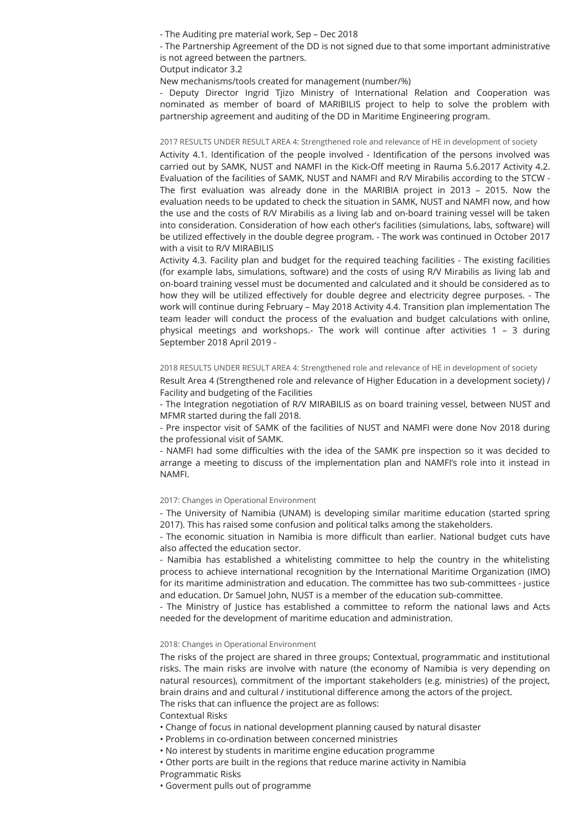- The Auditing pre material work, Sep – Dec 2018

- The Partnership Agreement of the DD is not signed due to that some important administrative is not agreed between the partners.

Output indicator 3.2

New mechanisms/tools created for management (number/%)

- Deputy Director Ingrid Tjizo Ministry of International Relation and Cooperation was nominated as member of board of MARIBILIS project to help to solve the problem with partnership agreement and auditing of the DD in Maritime Engineering program.

#### 2017 RESULTS UNDER RESULT AREA 4: Strengthened role and relevance of HE in development of society

Activity 4.1. Identification of the people involved - Identification of the persons involved was carried out by SAMK, NUST and NAMFI in the Kick-Off meeting in Rauma 5.6.2017 Activity 4.2. Evaluation of the facilities of SAMK, NUST and NAMFI and R/V Mirabilis according to the STCW - The first evaluation was already done in the MARIBIA project in 2013 - 2015. Now the evaluation needs to be updated to check the situation in SAMK, NUST and NAMFI now, and how the use and the costs of R/V Mirabilis as a living lab and on-board training vessel will be taken into consideration. Consideration of how each other's facilities (simulations, labs, software) will be utilized effectively in the double degree program. - The work was continued in October 2017 with a visit to R/V MIRABILIS

Activity 4.3. Facility plan and budget for the required teaching facilities - The existing facilities (for example labs, simulations, software) and the costs of using R/V Mirabilis as living lab and on-board training vessel must be documented and calculated and it should be considered as to how they will be utilized effectively for double degree and electricity degree purposes. - The work will continue during February – May 2018 Activity 4.4. Transition plan implementation The team leader will conduct the process of the evaluation and budget calculations with online, physical meetings and workshops.- The work will continue after activities 1 – 3 during September 2018 April 2019 -

### 2018 RESULTS UNDER RESULT AREA 4: Strengthened role and relevance of HE in development of society

Result Area 4 (Strengthened role and relevance of Higher Education in a development society) / Facility and budgeting of the Facilities

- The Integration negotiation of R/V MIRABILIS as on board training vessel, between NUST and MFMR started during the fall 2018.

- Pre inspector visit of SAMK of the facilities of NUST and NAMFI were done Nov 2018 during the professional visit of SAMK.

- NAMFI had some difficulties with the idea of the SAMK pre inspection so it was decided to arrange a meeting to discuss of the implementation plan and NAMFI's role into it instead in NAMFI.

### 2017: Changes in Operational Environment

- The University of Namibia (UNAM) is developing similar maritime education (started spring 2017). This has raised some confusion and political talks among the stakeholders.

- The economic situation in Namibia is more difficult than earlier. National budget cuts have also affected the education sector.

- Namibia has established a whitelisting committee to help the country in the whitelisting process to achieve international recognition by the International Maritime Organization (IMO) for its maritime administration and education. The committee has two sub-committees - justice and education. Dr Samuel John, NUST is a member of the education sub-committee.

- The Ministry of Justice has established a committee to reform the national laws and Acts needed for the development of maritime education and administration.

#### 2018: Changes in Operational Environment

The risks of the project are shared in three groups; Contextual, programmatic and institutional risks. The main risks are involve with nature (the economy of Namibia is very depending on natural resources), commitment of the important stakeholders (e.g. ministries) of the project, brain drains and and cultural / institutional difference among the actors of the project. The risks that can influence the project are as follows:

- Contextual Risks
- Change of focus in national development planning caused by natural disaster
- Problems in co-ordination between concerned ministries
- No interest by students in maritime engine education programme
- Other ports are built in the regions that reduce marine activity in Namibia
- Programmatic Risks
- Goverment pulls out of programme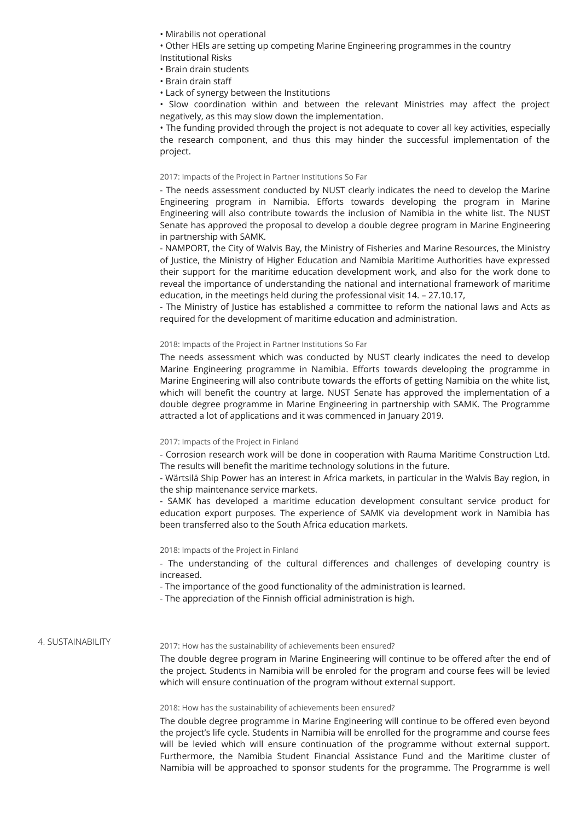• Mirabilis not operational

• Other HEIs are setting up competing Marine Engineering programmes in the country Institutional Risks

- Brain drain students
- Brain drain sta
- Lack of synergy between the Institutions

 $\cdot$  Slow coordination within and between the relevant Ministries may affect the project negatively, as this may slow down the implementation.

• The funding provided through the project is not adequate to cover all key activities, especially the research component, and thus this may hinder the successful implementation of the project.

### 2017: Impacts of the Project in Partner Institutions So Far

- The needs assessment conducted by NUST clearly indicates the need to develop the Marine Engineering program in Namibia. Efforts towards developing the program in Marine Engineering will also contribute towards the inclusion of Namibia in the white list. The NUST Senate has approved the proposal to develop a double degree program in Marine Engineering in partnership with SAMK.

- NAMPORT, the City of Walvis Bay, the Ministry of Fisheries and Marine Resources, the Ministry of Justice, the Ministry of Higher Education and Namibia Maritime Authorities have expressed their support for the maritime education development work, and also for the work done to reveal the importance of understanding the national and international framework of maritime education, in the meetings held during the professional visit 14. – 27.10.17,

- The Ministry of Justice has established a committee to reform the national laws and Acts as required for the development of maritime education and administration.

#### 2018: Impacts of the Project in Partner Institutions So Far

The needs assessment which was conducted by NUST clearly indicates the need to develop Marine Engineering programme in Namibia. Efforts towards developing the programme in Marine Engineering will also contribute towards the efforts of getting Namibia on the white list, which will benefit the country at large. NUST Senate has approved the implementation of a double degree programme in Marine Engineering in partnership with SAMK. The Programme attracted a lot of applications and it was commenced in January 2019.

### 2017: Impacts of the Project in Finland

- Corrosion research work will be done in cooperation with Rauma Maritime Construction Ltd. The results will benefit the maritime technology solutions in the future.

- Wärtsilä Ship Power has an interest in Africa markets, in particular in the Walvis Bay region, in the ship maintenance service markets.

- SAMK has developed a maritime education development consultant service product for education export purposes. The experience of SAMK via development work in Namibia has been transferred also to the South Africa education markets.

### 2018: Impacts of the Project in Finland

- The understanding of the cultural differences and challenges of developing country is increased.

- The importance of the good functionality of the administration is learned.

- The appreciation of the Finnish official administration is high.

### 4. SUSTAINABILITY

### 2017: How has the sustainability of achievements been ensured?

The double degree program in Marine Engineering will continue to be offered after the end of the project. Students in Namibia will be enroled for the program and course fees will be levied which will ensure continuation of the program without external support.

#### 2018: How has the sustainability of achievements been ensured?

The double degree programme in Marine Engineering will continue to be offered even beyond the project's life cycle. Students in Namibia will be enrolled for the programme and course fees will be levied which will ensure continuation of the programme without external support. Furthermore, the Namibia Student Financial Assistance Fund and the Maritime cluster of Namibia will be approached to sponsor students for the programme. The Programme is well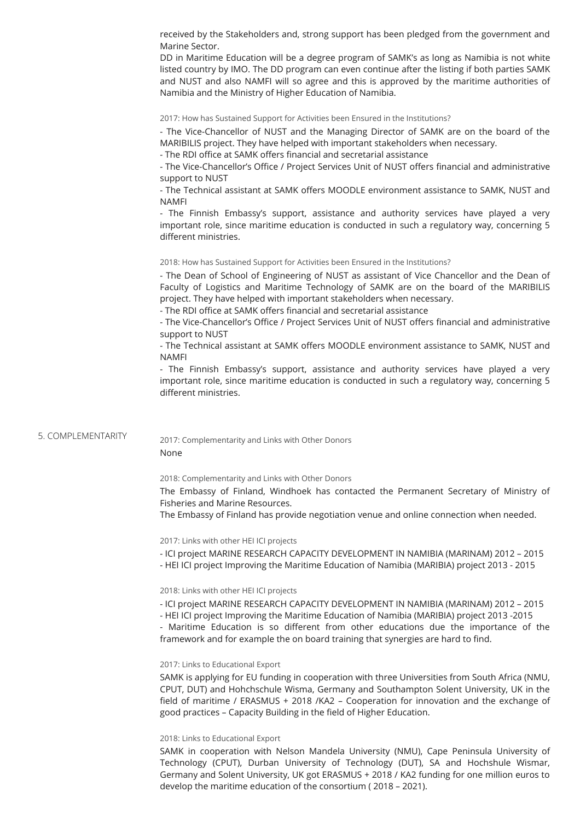received by the Stakeholders and, strong support has been pledged from the government and Marine Sector.

DD in Maritime Education will be a degree program of SAMK's as long as Namibia is not white listed country by IMO. The DD program can even continue after the listing if both parties SAMK and NUST and also NAMFI will so agree and this is approved by the maritime authorities of Namibia and the Ministry of Higher Education of Namibia.

2017: How has Sustained Support for Activities been Ensured in the Institutions?

- The Vice-Chancellor of NUST and the Managing Director of SAMK are on the board of the MARIBILIS project. They have helped with important stakeholders when necessary.

- The RDI office at SAMK offers financial and secretarial assistance

- The Vice-Chancellor's Office / Project Services Unit of NUST offers financial and administrative support to NUST

- The Technical assistant at SAMK offers MOODLE environment assistance to SAMK, NUST and NAMFI

- The Finnish Embassy's support, assistance and authority services have played a very important role, since maritime education is conducted in such a regulatory way, concerning 5 different ministries

2018: How has Sustained Support for Activities been Ensured in the Institutions?

- The Dean of School of Engineering of NUST as assistant of Vice Chancellor and the Dean of Faculty of Logistics and Maritime Technology of SAMK are on the board of the MARIBILIS project. They have helped with important stakeholders when necessary.

- The RDI office at SAMK offers financial and secretarial assistance

- The Vice-Chancellor's Office / Project Services Unit of NUST offers financial and administrative support to NUST

- The Technical assistant at SAMK offers MOODLE environment assistance to SAMK, NUST and NAMFI

- The Finnish Embassy's support, assistance and authority services have played a very important role, since maritime education is conducted in such a regulatory way, concerning 5 different ministries

### 5. COMPLEMENTARITY

2017: Complementarity and Links with Other Donors None

2018: Complementarity and Links with Other Donors

The Embassy of Finland, Windhoek has contacted the Permanent Secretary of Ministry of Fisheries and Marine Resources.

The Embassy of Finland has provide negotiation venue and online connection when needed.

2017: Links with other HEI ICI projects

- ICI project MARINE RESEARCH CAPACITY DEVELOPMENT IN NAMIBIA (MARINAM) 2012 2015
- HEI ICI project Improving the Maritime Education of Namibia (MARIBIA) project 2013 2015

### 2018: Links with other HEI ICI projects

- ICI project MARINE RESEARCH CAPACITY DEVELOPMENT IN NAMIBIA (MARINAM) 2012 – 2015

- HEI ICI project Improving the Maritime Education of Namibia (MARIBIA) project 2013 -2015

- Maritime Education is so different from other educations due the importance of the framework and for example the on board training that synergies are hard to find.

### 2017: Links to Educational Export

SAMK is applying for EU funding in cooperation with three Universities from South Africa (NMU, CPUT, DUT) and Hohchschule Wisma, Germany and Southampton Solent University, UK in the field of maritime / ERASMUS + 2018 /KA2 – Cooperation for innovation and the exchange of good practices - Capacity Building in the field of Higher Education.

### 2018: Links to Educational Export

SAMK in cooperation with Nelson Mandela University (NMU), Cape Peninsula University of Technology (CPUT), Durban University of Technology (DUT), SA and Hochshule Wismar, Germany and Solent University, UK got ERASMUS + 2018 / KA2 funding for one million euros to develop the maritime education of the consortium ( 2018 – 2021).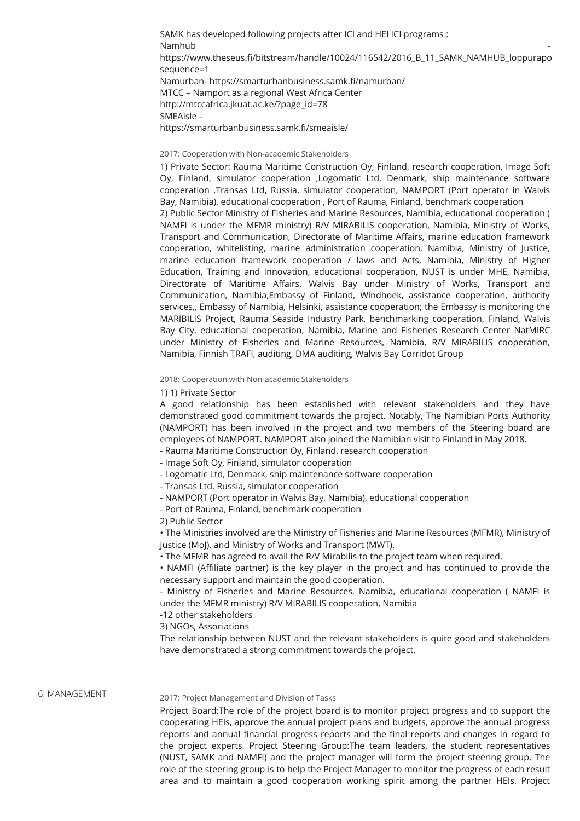SAMK has developed following projects after ICI and HEI ICI programs : Namhub https://www.theseus.fi/bitstream/handle/10024/116542/2016\_B\_11\_SAMK\_NAMHUB\_loppurapo sequence=1 Namurban- https://smarturbanbusiness.samk.fi/namurban/ MTCC – Namport as a regional West Africa Center http://mtccafrica.jkuat.ac.ke/?page\_id=78 SMEAisle – https://smarturbanbusiness.samk.fi/smeaisle/

### 2017: Cooperation with Non-academic Stakeholders

1) Private Sector: Rauma Maritime Construction Oy, Finland, research cooperation, Image Soft Oy, Finland, simulator cooperation ,Logomatic Ltd, Denmark, ship maintenance software cooperation ,Transas Ltd, Russia, simulator cooperation, NAMPORT (Port operator in Walvis Bay, Namibia), educational cooperation , Port of Rauma, Finland, benchmark cooperation

2) Public Sector Ministry of Fisheries and Marine Resources, Namibia, educational cooperation ( NAMFI is under the MFMR ministry) R/V MIRABILIS cooperation, Namibia, Ministry of Works, Transport and Communication, Directorate of Maritime Affairs, marine education framework cooperation, whitelisting, marine administration cooperation, Namibia, Ministry of Justice, marine education framework cooperation / laws and Acts, Namibia, Ministry of Higher Education, Training and Innovation, educational cooperation, NUST is under MHE, Namibia, Directorate of Maritime Affairs, Walvis Bay under Ministry of Works, Transport and Communication, Namibia,Embassy of Finland, Windhoek, assistance cooperation, authority services,, Embassy of Namibia, Helsinki, assistance cooperation; the Embassy is monitoring the MARIBILIS Project, Rauma Seaside Industry Park, benchmarking cooperation, Finland, Walvis Bay City, educational cooperation, Namibia, Marine and Fisheries Research Center NatMIRC under Ministry of Fisheries and Marine Resources, Namibia, R/V MIRABILIS cooperation, Namibia, Finnish TRAFI, auditing, DMA auditing, Walvis Bay Corridot Group

#### 2018: Cooperation with Non-academic Stakeholders

#### 1) 1) Private Sector

A good relationship has been established with relevant stakeholders and they have demonstrated good commitment towards the project. Notably, The Namibian Ports Authority (NAMPORT) has been involved in the project and two members of the Steering board are employees of NAMPORT. NAMPORT also joined the Namibian visit to Finland in May 2018.

- Rauma Maritime Construction Oy, Finland, research cooperation
- Image Soft Oy, Finland, simulator cooperation
- Logomatic Ltd, Denmark, ship maintenance software cooperation
- Transas Ltd, Russia, simulator cooperation
- NAMPORT (Port operator in Walvis Bay, Namibia), educational cooperation
- Port of Rauma, Finland, benchmark cooperation
- 2) Public Sector

• The Ministries involved are the Ministry of Fisheries and Marine Resources (MFMR), Ministry of Justice (MoJ), and Ministry of Works and Transport (MWT).

• The MFMR has agreed to avail the R/V Mirabilis to the project team when required.

• NAMFI (Affiliate partner) is the key player in the project and has continued to provide the necessary support and maintain the good cooperation.

- Ministry of Fisheries and Marine Resources, Namibia, educational cooperation ( NAMFI is under the MFMR ministry) R/V MIRABILIS cooperation, Namibia

-12 other stakeholders

3) NGOs, Associations

The relationship between NUST and the relevant stakeholders is quite good and stakeholders have demonstrated a strong commitment towards the project.

### 6. MANAGEMENT

### 2017: Project Management and Division of Tasks

Project Board:The role of the project board is to monitor project progress and to support the cooperating HEIs, approve the annual project plans and budgets, approve the annual progress reports and annual financial progress reports and the final reports and changes in regard to the project experts. Project Steering Group:The team leaders, the student representatives (NUST, SAMK and NAMFI) and the project manager will form the project steering group. The role of the steering group is to help the Project Manager to monitor the progress of each result area and to maintain a good cooperation working spirit among the partner HEIs. Project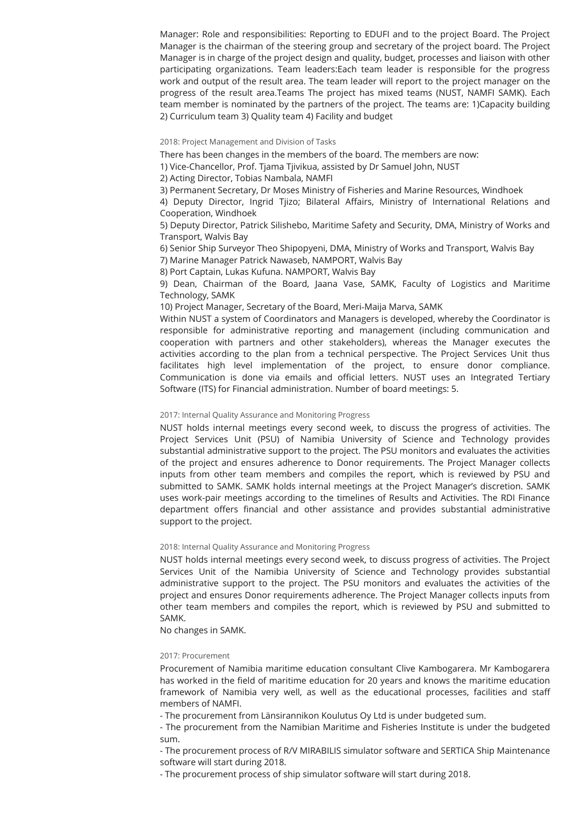Manager: Role and responsibilities: Reporting to EDUFI and to the project Board. The Project Manager is the chairman of the steering group and secretary of the project board. The Project Manager is in charge of the project design and quality, budget, processes and liaison with other participating organizations. Team leaders:Each team leader is responsible for the progress work and output of the result area. The team leader will report to the project manager on the progress of the result area.Teams The project has mixed teams (NUST, NAMFI SAMK). Each team member is nominated by the partners of the project. The teams are: 1)Capacity building 2) Curriculum team 3) Quality team 4) Facility and budget

2018: Project Management and Division of Tasks

There has been changes in the members of the board. The members are now:

1) Vice-Chancellor, Prof. Tjama Tjivikua, assisted by Dr Samuel John, NUST

2) Acting Director, Tobias Nambala, NAMFI

3) Permanent Secretary, Dr Moses Ministry of Fisheries and Marine Resources, Windhoek

4) Deputy Director, Ingrid Tjizo; Bilateral Affairs, Ministry of International Relations and Cooperation, Windhoek

5) Deputy Director, Patrick Silishebo, Maritime Safety and Security, DMA, Ministry of Works and Transport, Walvis Bay

6) Senior Ship Surveyor Theo Shipopyeni, DMA, Ministry of Works and Transport, Walvis Bay

7) Marine Manager Patrick Nawaseb, NAMPORT, Walvis Bay

8) Port Captain, Lukas Kufuna. NAMPORT, Walvis Bay

9) Dean, Chairman of the Board, Jaana Vase, SAMK, Faculty of Logistics and Maritime Technology, SAMK

10) Project Manager, Secretary of the Board, Meri‐Maija Marva, SAMK

Within NUST a system of Coordinators and Managers is developed, whereby the Coordinator is responsible for administrative reporting and management (including communication and cooperation with partners and other stakeholders), whereas the Manager executes the activities according to the plan from a technical perspective. The Project Services Unit thus facilitates high level implementation of the project, to ensure donor compliance. Communication is done via emails and official letters. NUST uses an Integrated Tertiary Software (ITS) for Financial administration. Number of board meetings: 5.

### 2017: Internal Quality Assurance and Monitoring Progress

NUST holds internal meetings every second week, to discuss the progress of activities. The Project Services Unit (PSU) of Namibia University of Science and Technology provides substantial administrative support to the project. The PSU monitors and evaluates the activities of the project and ensures adherence to Donor requirements. The Project Manager collects inputs from other team members and compiles the report, which is reviewed by PSU and submitted to SAMK. SAMK holds internal meetings at the Project Manager's discretion. SAMK uses work-pair meetings according to the timelines of Results and Activities. The RDI Finance department offers financial and other assistance and provides substantial administrative support to the project.

### 2018: Internal Quality Assurance and Monitoring Progress

NUST holds internal meetings every second week, to discuss progress of activities. The Project Services Unit of the Namibia University of Science and Technology provides substantial administrative support to the project. The PSU monitors and evaluates the activities of the project and ensures Donor requirements adherence. The Project Manager collects inputs from other team members and compiles the report, which is reviewed by PSU and submitted to SAMK.

No changes in SAMK.

### 2017: Procurement

Procurement of Namibia maritime education consultant Clive Kambogarera. Mr Kambogarera has worked in the field of maritime education for 20 years and knows the maritime education framework of Namibia very well, as well as the educational processes, facilities and staff members of NAMFI.

- The procurement from Länsirannikon Koulutus Oy Ltd is under budgeted sum.

- The procurement from the Namibian Maritime and Fisheries Institute is under the budgeted sum.

- The procurement process of R/V MIRABILIS simulator software and SERTICA Ship Maintenance software will start during 2018.

- The procurement process of ship simulator software will start during 2018.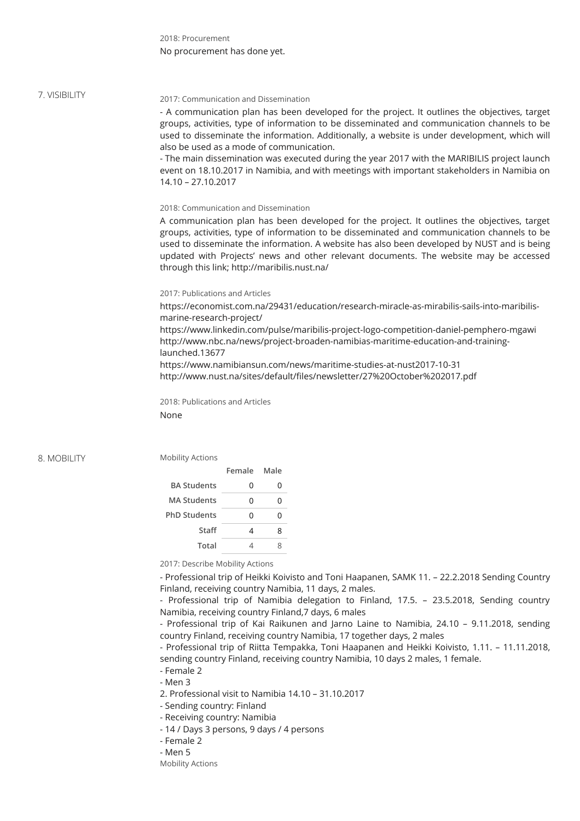2018: Procurement No procurement has done yet.

### 7. VISIBILITY

### 2017: Communication and Dissemination

- A communication plan has been developed for the project. It outlines the objectives, target groups, activities, type of information to be disseminated and communication channels to be used to disseminate the information. Additionally, a website is under development, which will also be used as a mode of communication.

- The main dissemination was executed during the year 2017 with the MARIBILIS project launch event on 18.10.2017 in Namibia, and with meetings with important stakeholders in Namibia on 14.10 – 27.10.2017

2018: Communication and Dissemination

A communication plan has been developed for the project. It outlines the objectives, target groups, activities, type of information to be disseminated and communication channels to be used to disseminate the information. A website has also been developed by NUST and is being updated with Projects' news and other relevant documents. The website may be accessed through this link; http://maribilis.nust.na/

### 2017: Publications and Articles

https://economist.com.na/29431/education/research-miracle-as-mirabilis-sails-into-maribilismarine-research-project/ https://www.linkedin.com/pulse/maribilis-project-logo-competition-daniel-pemphero-mgawi http://www.nbc.na/news/project-broaden-namibias-maritime-education-and-traininglaunched.13677

https://www.namibiansun.com/news/maritime-studies-at-nust2017-10-31 http://www.nust.na/sites/default/files/newsletter/27%20October%202017.pdf

2018: Publications and Articles None

8. MOBILITY

## Mobility Actions

|                     | Female | Male |
|---------------------|--------|------|
| <b>BA Students</b>  | ი      | 0    |
| <b>MA Students</b>  | U      | O    |
| <b>PhD Students</b> | ი      | O    |
| Staff               | 4      | 8    |
| Total               |        |      |

2017: Describe Mobility Actions

- Professional trip of Heikki Koivisto and Toni Haapanen, SAMK 11. – 22.2.2018 Sending Country Finland, receiving country Namibia, 11 days, 2 males.

- Professional trip of Namibia delegation to Finland, 17.5. – 23.5.2018, Sending country Namibia, receiving country Finland,7 days, 6 males

- Professional trip of Kai Raikunen and Jarno Laine to Namibia, 24.10 – 9.11.2018, sending country Finland, receiving country Namibia, 17 together days, 2 males

- Professional trip of Riitta Tempakka, Toni Haapanen and Heikki Koivisto, 1.11. – 11.11.2018, sending country Finland, receiving country Namibia, 10 days 2 males, 1 female.

- Female 2

- Men 3

2. Professional visit to Namibia 14.10 – 31.10.2017

- Sending country: Finland

- Receiving country: Namibia
- 14 / Days 3 persons, 9 days / 4 persons
- Female 2
- Men 5
- Mobility Actions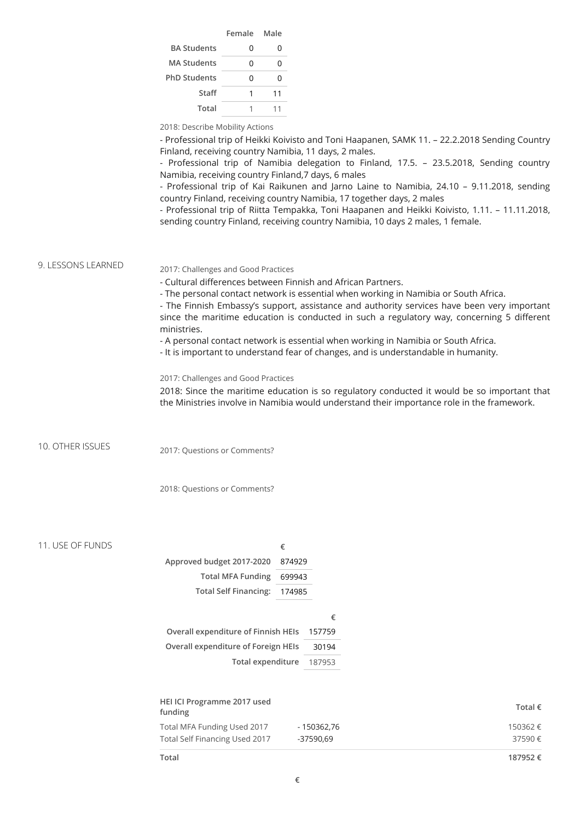|                     | Female Male |    |
|---------------------|-------------|----|
| <b>BA Students</b>  | ი           | 0  |
| <b>MA Students</b>  | U           | U  |
| <b>PhD Students</b> | U           | U  |
| Staff               | 1           | 11 |
| Total               |             | 11 |

2018: Describe Mobility Actions

- Professional trip of Heikki Koivisto and Toni Haapanen, SAMK 11. – 22.2.2018 Sending Country Finland, receiving country Namibia, 11 days, 2 males.

- Professional trip of Namibia delegation to Finland, 17.5. – 23.5.2018, Sending country Namibia, receiving country Finland,7 days, 6 males

- Professional trip of Kai Raikunen and Jarno Laine to Namibia, 24.10 – 9.11.2018, sending country Finland, receiving country Namibia, 17 together days, 2 males

- Professional trip of Riitta Tempakka, Toni Haapanen and Heikki Koivisto, 1.11. – 11.11.2018, sending country Finland, receiving country Namibia, 10 days 2 males, 1 female.

9. LESSONS LEARNED

#### 2017: Challenges and Good Practices

- Cultural differences between Finnish and African Partners.

- The personal contact network is essential when working in Namibia or South Africa.

- The Finnish Embassy's support, assistance and authority services have been very important since the maritime education is conducted in such a regulatory way, concerning 5 different ministries.

- A personal contact network is essential when working in Namibia or South Africa.

- It is important to understand fear of changes, and is understandable in humanity.

### 2017: Challenges and Good Practices

2018: Since the maritime education is so regulatory conducted it would be so important that the Ministries involve in Namibia would understand their importance role in the framework.

10. OTHER ISSUES 2017: Questions or Comments?

2018: Questions or Comments?

#### 11. USE OF FUNDS

|                                     | €      |        |
|-------------------------------------|--------|--------|
| Approved budget 2017-2020           | 874929 |        |
| <b>Total MFA Funding</b>            | 699943 |        |
| <b>Total Self Financing:</b>        | 174985 |        |
|                                     |        |        |
|                                     |        | €      |
| Overall expenditure of Finnish HEIs |        | 157759 |
| Overall expenditure of Foreign HEIs |        | 30194  |
| Total expenditure                   |        | 187953 |
|                                     |        |        |

| HEI ICI Programme 2017 used<br>funding |             | Total $\epsilon$ |
|----------------------------------------|-------------|------------------|
| Total MFA Funding Used 2017            | - 150362.76 | 150362 €         |
| Total Self Financing Used 2017         | -37590.69   | 37590€           |